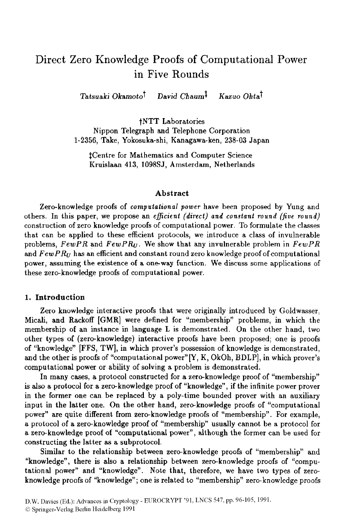# Direct Zero Knowledge Proofs of Computational Power in Five Rounds

Tatsuaki Oksmotot David Chaumt Kazuo Ohtat

tNTT Laboratories Nippon Telegraph and Telephone Corporation 1-2356, Take, Yokosuka-shi, Kanagawa-ken, **238-03** Japan

tCentre for Mathematics and Computer Science Kruislaan **413, 1098SJ,** Amsterdam, Netherlands

## Abstract

Zero-knowledge proofs of *compaiaiional power* have been proposed by Yung and others. In this paper, we propose an *eficieni (direct) and consiani round (five round)*  construction of zero knowledge proofs of computational power. To formulate the classes that can be applied to these efficient protocols, we introduce a class of invulnerable problems, *FewPR* and *FewPRu.* We show that any invulnerable problem in *FewPR*  and *FewPRu* has an efficient and constant round zero knowledge proof of computational power, assuming the existence of a one-way function. We discuss some applications of these zero-knowledge proofs of computational power.

## **1.** Introduction

Zero knowledge interactive proofs that were originally introduced by Goldwasser, Micali, and Rackoff **[GMR]** were defined for "membership" problems, in which the membership of an instance in language **L** is demonstrated. On the other hand, two other types of (zero-knowledge) interactive proofs have been proposed; one is proofs of "knowledge" **[FFS,** TW], in which prover's possession of knowledge **is** demonstrated, and the other is proofs of "computational power"[Y, K, OkOh, BDLP], in which prover's computational power or ability of solving a problem is demonstrated.

In many cases, a protocol constructed for **a** zero-knowledge proof of "membership" is **also** a protocol for a zero-knowledge proof of "knowledge", if the infinite power prover in the former one can be replaced by a poly-time bounded prover with an auxiliary input in the latter one. **On** the other hand, zereknowledge proofs of "computational power" are quite different from zero-knowledge proofs of "membership". **For** example, a protocol of a zero-knowledge proof of "membership" usually cannot be a protocol for a zero-knowledge proof of "computational power", although the former can be used for constructing the latter **as** a subprotocol.

Similar to the relationship between zero-knowledge proofs of "membership" and "knowledge", there is also a relationship between zero-knowledge proofs of "computational power" and "knowledge". Note that, therefore, we have two types of zeroknowledge proofs of "knowledge"; one is related to "membership" zero-knowledge proofs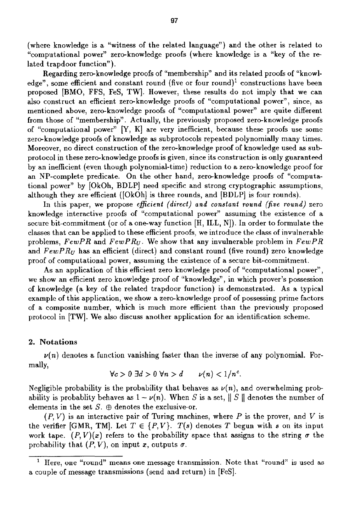(where knowledge is a "witness of the related language") and the other is related to "computational power" zero-knowledge proofs (where knowledge is a "key of the **re**lated trapdoor function").

Regarding zero-knowledge proofs of "membership" and its related proofs of "knowledge", some efficient and constant round (five or four round)<sup>1</sup> constructions have been proposed **[BMO,** FFS, FeS, TW]. However, these results do not imply that we can **also** construct an efficient zero-knowledge proofs of "computational power", since, **as**  mentioned above, zero-knowledge proofs of "computational power" are quite different from those of "membership". Actually, the previously proposed zero-knowledge proofs of "computational power" Ty, **K]** are very inefficient, because these proofs use some zereknowledge proofs of knowledge **as** subprotocols repeated polynomially many times. Moreover, no direct construction of the zero-knowledge proof of knowledge used **as** subprotocol in these zero-knowledge proofs is given, since its construction is only guaranteed by an inefficient (even though polynomial-time) reduction to a zero-knowledge proof for an NP-complete predicate. On the other hand, zero-knowledge proofs of "computational power" by [OkOh, BDLP] need specific and strong cryptographic assumptions, although they are efficient ([OkOh] is three rounds, and [BDLP] is four rounds).

In this paper, we propose *eficient (direcf) and constant round (jive round)* zero knowledge interactive proofs of "computational power" assuming the existence of a secure bit-commitment (or of a one-way function [H, ILL, **N]).** In order to formulate the classes that can be applied to these efficient proofs, we introduce the class of invulnerable problems, *FewPR* and *FewPRu.* We show that any invulnerable problem in *FewPR*  and *FewPR<sub>U</sub>* has an efficient (direct) and constant round (five round) zero knowledge proof of computational power, assuming the existence of a secure bit-commitment.

**As** an application of this efficient zero knowledge proof of "computational power", we show an efficient zero knowledge proof of "knowledge", in which prover's possession of knowledge (a key of the related trapdoor function) is demonstrated. As a typical example of this application, we show **a** zero-knowledge proof of possessing prime factors of a composite number, which is much more efficient than the previously proposed protocol in [TW]. We also discuss another application for an identification scheme.

# **2. Notations**

 $\nu(n)$  denotes a function vanishing faster than the inverse of any polynomial. Formally,

$$
\forall c > 0 \ \exists d > 0 \ \forall n > d \qquad \nu(n) < 1/n^c.
$$

Negligible probability is the probability that behaves as  $\nu(n)$ , and overwhelming probability is probablity behaves as  $1 - \nu(n)$ . When *S* is a set,  $||S||$  denotes the number of elements in the set  $S$ .  $\oplus$  denotes the exclusive-or.

*(P,* V) is an interactive pair of Turing machines, where *P* is the prover, and *V* is the verifier [GMR, TM]. Let  $T \in \{P, V\}$ .  $T(s)$  denotes  $T$  begun with  $s$  on its input work tape.  $(P, V)(x)$  refers to the probability space that assigns to the string  $\sigma$  the probability that  $(P, V)$ , on input x, outputs  $\sigma$ .

Here, uue "round" means **one** message transmission. **Note** that "round" **is** used **as**  a couple of message transmissions (send and return) in **[FeS].**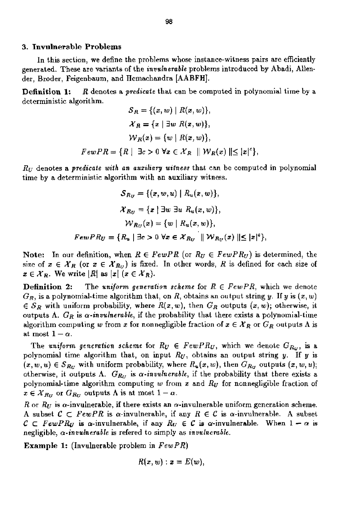#### **3. Invulnerable Problems**

**In** this **section, we define** the **problems whose instancewitness pairs are efficiently generated.** These **are variants of the** *inaulnembls* **problems introduced by Abadi, Allen**der, **Broder, Feigenbaum,** and **Heinachandra [AABFH].** 

**Definition 1:** *R* denotes a *predicate* that can be computed in polynomial time by a **deterministic algorithm.** 

$$
S_R = \{(x, w) \mid R(x, w)\},
$$
  
\n
$$
X_R = \{x \mid \exists w \ R(x, w)\},
$$
  
\n
$$
W_R(x) = \{w \mid R(x, w)\},
$$
  
\n
$$
F \in wPR = \{R \mid \exists c > 0 \ \forall x \in X_R \ || W_R(x) || \leq |x|^c\},
$$

 $R_U$  denotes a *predicate with an auxiliary witness* that can be computed in polynomial **time by a** deterministic **algorithm with an auxiliary witness.** 

$$
S_{R_U} = \{(x, w, u) \mid R_u(x, w)\},
$$
  
\n
$$
\mathcal{X}_{R_U} = \{x \mid \exists w \exists u \; R_u(x, w)\},
$$
  
\n
$$
\mathcal{W}_{R_U}(x) = \{w \mid R_u(x, w)\},
$$
  
\n
$$
FewPR_U = \{R_u \mid \exists c > 0 \; \forall x \in \mathcal{X}_{R_U} \mid \|\mathcal{W}_{R_U}(x)\| \leq |x|^c\},
$$

**Note:** In our definition, when  $R \in \text{FewPR}$  (or  $R_U \in \text{FewPR}_U$ ) is determined, the size of  $x \in X_R$  (or  $x \in X_{R_U}$ ) is fixed. In other words, *R* is defined for each size of  $x \in \mathcal{X}_R$ . We write  $|R|$  as  $|x|$   $(x \in \mathcal{X}_R)$ .

**Definition 2:** The *uniform generation scheme* for  $R \in \text{FewPR}$ , which we denote  $G_R$ , is a polynomial-time algorithm that, on  $R$ , obtains an output string  $y$ . If  $y$  is  $(x, w)$  $\in$  *SR* with uniform probability, where  $R(x, w)$ , then  $G_R$  outputs  $(x, w)$ ; otherwise, it **outputs A.**  $G_R$  is  $\alpha$ -invaluerable, if the probability that there exists a polynomial-time **algorithm computing** *w* **from** *<b>z for nonnegligible fraction of*  $\mathbf{z} \in \mathcal{X}_R$  *or*  $G_R$  *outputs A is at most*  $1 - \alpha$ *.* 

The uniform generation scheme for  $R_U \in FewPR_U$ , which we denote  $G_{R_U}$ , is a polynomial time algorithm that, on input  $R_U$ , obtains an output string  $y$ . If  $y$  is  $(x, w, u) \in S_{R_U}$  with uniform probability, where  $R_u(x, w)$ , then  $G_{R_U}$  outputs  $(x, w, u)$ ; otherwise, it outputs A.  $G_{R_V}$  is  $\alpha$ -invalnerable, if the probability that there exists a polynomial-time algorithm computing  $w$  from  $x$  and  $R_U$  for nonnegligible fraction of  $x \in \mathcal{X}_{R_U}$  or  $G_{R_U}$  outputs  $\Lambda$  is at most  $1 - \alpha$ .

*R* or  $R_U$  is  $\alpha$ -invulnerable, if there exists an  $\alpha$ -invulnerable uniform generation scheme. A subset  $C \subset \text{FewPR}$  is  $\alpha$ -invulnerable, if any  $R \in C$  is  $\alpha$ -invulnerable. A subset  $C \subset \text{FewPR}_U$  is  $\alpha$ -invulnerable, if any  $R_U \in C$  is  $\alpha$ -invulnerable. When  $1 - \alpha$  is **negligible,** *a-inuulnemlle* **is refered** to simply **as** *inusherable.* 

**ExampIe 1: (Invulnerable problem in** *FewPR)* 

$$
R(x, w) : x = E(w),
$$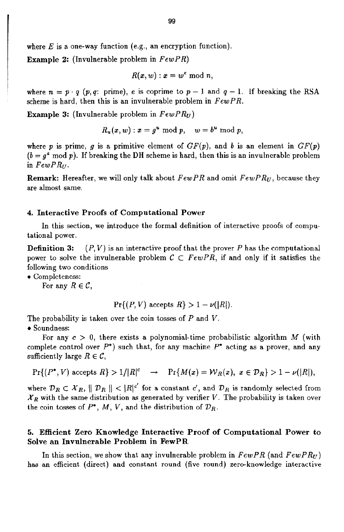where *E* is **a** one-way function (e.g., an encryption function).

**Example 2:** (Invulnerable problem in *FewPR)* 

$$
R(x, w) : x = w^e \bmod n,
$$

where  $n = p \cdot q$  (p, q: prime), e is coprime to  $p - 1$  and  $q - 1$ . If breaking the RSA scheme is hard, then this is an invulnerable problem in *FewPR.* 

**Example 3:** (Invulnerable problem in *FewPRu)* 

$$
R_u(x, w) : x = g^u \bmod p, \quad w = b^u \bmod p,
$$

where *p* is prime, *g* is a primitive element of  $GF(p)$ , and *b* is an element in  $GF(p)$  $(b = q<sup>a</sup> \text{ mod } p)$ . If breaking the DH scheme is hard, then this is an invulnerable problem in *FewPRu.* 

**Remark:** Hereafter, we will only talk about *FewPR* and omit *FewPRu,* because they are almost same.

## **4. Interactive Proofs of Computational Power**

**In** this section, we introduce the formal definition **of** interactive proofs of computational power.

**Definition 3:**  $(P, V)$  is an interactive proof that the prover P has the computational power to solve the invulnerable problem  $C \subset FewPR$ , if and only if it satisfies the following two conditions

*0* Completeness:

For any  $R \in \mathcal{C}$ ,

 $Pr\{(P, V) \text{ accepts } R\} > 1 - \nu(|R|).$ 

The probability *is* taken over the coin tosses of *P* and V.

*0* Soundness:

**For** any *c* > 0, there exists a polynomial-time probabilistic algorithm *M* (with complete control over *P')* such that, for any machine *P'* acting **as** a prover, and any sufficiently large  $R \in \mathcal{C}$ ,

$$
Pr\{(P^*,V) \text{ accepts } R\} > 1/|R|^c \rightarrow Pr\{M(x) = \mathcal{W}_R(x), x \in \mathcal{D}_R\} > 1 - \nu(|R|),
$$

where  $\mathcal{D}_R \subset \mathcal{X}_R$ ,  $\| \mathcal{D}_R \| < |R|^{c'}$  for a constant *c'*, and  $\mathcal{D}_R$  is randomly selected from  $X_R$  with the same distribution as generated by verifier  $V$ . The probability is taken over the coin tosses of  $P^*$ ,  $M$ ,  $V$ , and the distribution of  $\mathcal{D}_R$ .

# **5. Efficient Zero Knowledge Interactive Proof of Computational Power to Solve an Invulnerable Problem in FewPR**

In this section, we **show** that any invulnerable problem in *FewPR* (and *FewPRu)*  **has** an efficient (direct) **and** constant **round (five** round) zerc-knowledge interactive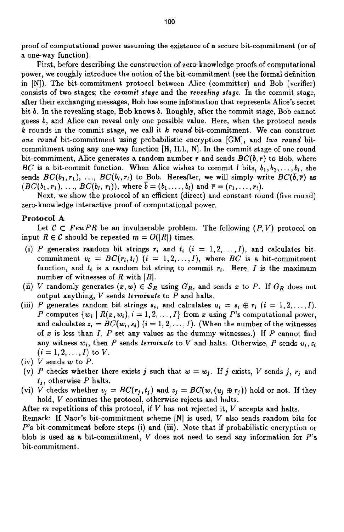proof of computational power assuming the existence of a scare bit-commitment (or of a one-way function).

First, before describing the construction of zereknowledge proofs of computational power, we roughly introduce the notion of the bit-commitment (see the formal definition in [N]). The bit-commitment protocol between Alice (committer) and Bob (verifier) consists of two stages; the *commit stage* and the *revealing sfage.* In the commit stage, after their exchanging messages, Bob has some information that represents Alice's secret bit *b.* In the revealing stage, Bob knows *b.* Roughly, after the commit stage, Bob cannot guess *b,* and Alice can reveal only one possible value. Here, when the protocol needs *k* rounds in the commit stage, we call it *h rovnd* bit-commitment. We can construct *one round* bit-commitment using probabilistic encryption [GM], and *two round* bitcommitment using any oneway function **[H, ILL, N].** In the commit stage of one round bit-commiment, Alice generates a random number  $r$  and sends  $BC(b, r)$  to Bob, where *BC* is a bit-commit function. When Alice wishes to commit *l* bits,  $b_1, b_2, \ldots, b_l$ , she sends  $BC(b_1, r_1), \ldots, BC(b_l, r_l)$  to Bob. Hereafter, we will simply write  $BC(\bar{b}, \bar{r})$  as  $(BC(b_1, r_1), \ldots, BC(b_l, r_l))$ , where  $\bar{b} = (b_1, \ldots, b_l)$  and  $\bar{r} = (r_1, \ldots, r_l)$ .

Next, we show the protocol of an efficient (direct) and constant round (five round) zero-knowledge interactive proof of computational power.

#### **Protocol A**

input  $R \in \mathcal{C}$  should be repeated  $m = O(|R|)$  times. Let  $\mathcal{C} \subset \text{FewPR}$  be an invulnerable problem. The following  $(P, V)$  protocol on

- (i) *P* generates random bit strings  $r_i$  and  $t_i$   $(i = 1, 2, ..., I)$ , and calculates bitcommitment  $v_i = BC(r_i, t_i)$   $(i = 1, 2, ..., I)$ , where *BC* is a bit-commitment function, and  $t_i$  is a random bit string to commit  $r_i$ . Here, I is the maximum number of witnesses of *R* with *JRI.*
- (ii) V randomly generates  $(x, w) \in S_R$  using  $G_R$ , and sends x to P. If  $G_R$  does not output anything, *V* sends *ieminaie* to *P* and halts.
- (iii) *P* generates random bit strings  $s_i$ , and calculates  $u_i = s_i \oplus r_i$   $(i = 1, 2, ..., I)$ . *P* computes  $\{w_i \mid R(x, w_i), i = 1, 2, ..., I\}$  from x using *P*'s computational power, and calculates  $z_i = BC(w_i, s_i)$   $(i = 1, 2, ..., I)$ . (When the number of the witnesses of **z** is less than I, *<sup>P</sup>*set any values **as** the dummy witnesses.) If *P* cannot find any witness  $w_i$ , then *P* sends *terminate* to *V* and halts. Otherwise, *P* sends  $u_i$ ,  $z_i$  $(i = 1, 2, ..., I)$  to V.
- $(iv)$  *V* sends *w* to *P*.
- (v) *P* checks whether there exists *j* such that  $w = w_j$ . If *j* exists, *V* sends *j*,  $r_j$  and *tj,* otherwise *P* halts.
- (vi) *V* checks whether  $v_j = BC(r_j, t_j)$  and  $z_j = BC(w_i(u_j \oplus r_j))$  hold or not. If they hold, *V* continues the protocol, otherwise rejects and halts.

After *m* repetitions of this protocol, if *V* has not rejected it, *V* accepts and halts.

Remark: **If Naor's** bit-commitment scheme **[N]** is used, *V* also sends random bits for *P's* bit-commitment before steps (i) and (iii). Note that if probabilistic encryption or blob is used **as a** bit-commitment, V does not need to send any information for *P's*  bit-commitment.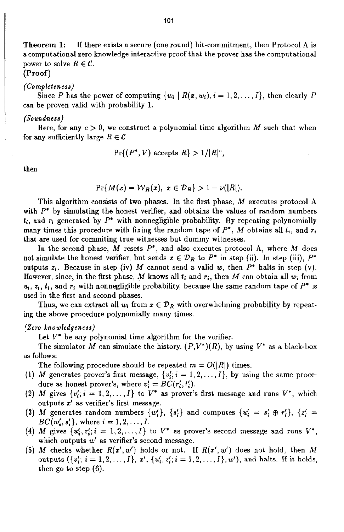**Theorem 1:** If there exists a secure (one round) bit-commitment, then Protocol  $\Lambda$  is a computational zero knowledge interactive proof that the prover has the computational power to solve  $R \in \mathcal{C}$ .

## **(Proof)**

## **(Co** *rnp lete n* **ess)**

Since *P* has the power of computing  $\{w_i \mid R(x, w_i), i = 1, 2, \ldots, I\}$ , then clearly *P* can be proven valid with probability 1.

#### *(Soundness)*

Here, for any  $c > 0$ , we construct a polynomial time algorithm M such that when for any sufficiently large  $R \in \mathcal{C}$ 

$$
Pr\{(P^*, V) \text{ accepts } R\} > 1/|R|^c,
$$

then

$$
Pr{M(x) = W_R(x), x \in \mathcal{D}_R} > 1 - \nu(|R|).
$$

This algorithm consists of two phases. In the first phase, *M* executes protocol **A**  with *P*<sup>\*</sup> by simulating the honest verifier, and obtains the values of random numbers  $t_i$ , and  $r_i$  generated by  $P^*$  with nonnegligible probability. By repeating polynomially many times this procedure with fixing the random tape of  $P^*$ , M obtains all  $t_i$ , and  $r_i$ that are used for commiting true witnesses but dummy witnesses.

In the second phase, *M* resets *P\*,* and also executes protocol **A,** where *M* does not simulate the honest verifier, but sends  $x \in \mathcal{D}_R$  to  $P^*$  in step (ii). In step (iii),  $P^*$ outputs  $z_i$ . Because in step (iv) *M* cannot send a valid w, then  $P^*$  halts in step (v). However, since, in the first phase, M knows all  $t_i$  and  $r_i$ , then M can obtain all  $w_i$  from  $u_i$ ,  $z_i$ ,  $t_i$ , and  $r_i$  with nonnegligible probability, because the same random tape of  $P^*$  is used in the first and second phases.

Thus, we can extract all  $w_i$  from  $x \in \mathcal{D}_R$  with overwhelming probability by repeating the above procedure polynomially many times.

#### *(Zero knowledgeness)*

Let  $V^*$  be any polynomial time algorithm for the verifier.

The simulator *M* can simulate the history,  $(P, V^*)(R)$ , by using  $V^*$  as a black-box as follows:

The following procedure should be repeated  $m = O(|R|)$  times.

- (1) *M* generates prover's first message,  $\{v_i; i = 1, 2, ..., I\}$ , by using the same procedure as honest prover's, where  $v_i' = BC(r_i', t_i')$ .
- (2) *M* gives  $\{v_i^i; i = 1, 2, ..., I\}$  to  $V^*$  as prover's first message and runs  $V^*$ , which outputs **z' as** verifier's **first** message.
- (3) *M* generates random numbers  $\{w_i'\}, \{s_i'\}$  and computes  $\{u_i' = s_i' \oplus r_i'\}, \{z_i' = s_i''\}$  $BC(w'_i, s'_i)$ , where  $i = 1, 2, ..., I$ .
- (4) *M* gives  $\{u'_i, z'_i; i = 1, 2, ..., I\}$  to  $V^*$  as prover's second message and runs  $V^*$ , which outputs *w'* as verifier's second message.
- (5) *M* checks whether  $R(x', w')$  holds or not. If  $R(x', w')$  does not hold, then *M* outputs  $({v'_i; i = 1, 2, ..., I}, x', {u'_i, z'_i; i = 1, 2, ..., I}, w')$ , and halts. If it holds, then go to step (6).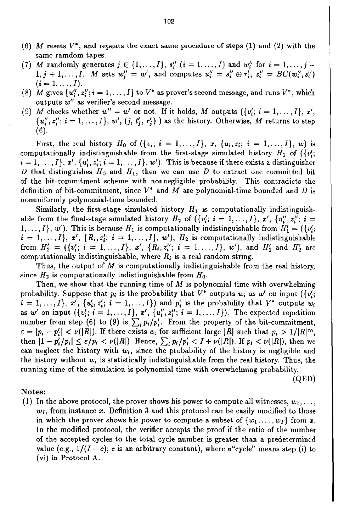- (6) *A4* resets *V',* and repeats the exact same procedure of steps (1) and **(2)** with the same ramdom tapes.
- (7) *M* randomly generates  $j \in \{1, ..., I\}$ ,  $s''_i$   $(i = 1, ..., I)$  and  $w''_i$  for  $i = 1, ..., j I$  $1, j + 1, \ldots, I$ . *M* sets  $w''_i = w'$ , and computes  $u''_i = s''_i \oplus r'_i$ ,  $z''_i = BC(w''_i, s''_i)$  $(i = 1, \ldots, I).$
- (8) *M* gives  $\{u''_i, z''_i; i = 1, ..., I\}$  to  $V^*$  as prover's second message, and runs  $V^*$ , which outputs  $w''$  as verifier's second message.
- (9) *M* checks whether  $w'' = w'$  or not. If it holds, *M* outputs  $({v'_i}; i = 1, ..., I), x'$  $\{u''_i, z''_i; i = 1, \ldots, I\}, w', (j, t'_j, r'_j)$  as the history. Otherwise, *M* returns to step (6).

First, the real history  $H_0$  of  $({v_i; i = 1, ..., I}, x, {u_i, z_i; i = 1, ..., I}, w)$  is computationally indistinguishable from the first-stage simulated history  $H_1$  of  $({v_i}$ ;  $i = 1, \ldots, I$ ,  $\mathbf{z}'$ ,  $\{u'_i, z'_i; i = 1, \ldots, I\}$ ,  $w'$ ). This is because if there exists a distinguisher D that distinguishes  $H_0$  and  $H_1$ , then we can use D to extract one committed bit of the bit-commitment scheme with nonnegligible probability. This contradicts the definition of bit-commitment, since  $V^*$  and M are polynomial-time bounded and D is nonuniformly polynomial-time bounded.

Similarly, the first-stage simulated history  $H_1$  is computationally indistinguishable from the final-stage simulated history  $H_2$  of  $({v_i'; i = 1, ..., I}, x', {u_i'', z_i''}; i =$  $1, \ldots, I$ , w'). This is because  $H_1$  is computationally indistinguishable from  $H_1' = (\{v_i'\},\$  $i=1,\ldots, I$ ,  $x'$ ,  $\{R_i, z'_i; i=1,\ldots, I\}$ ,  $w'$ ),  $H_2$  is computationally indistinguishable from  $H'_2 = \{ \{v'_i; i = 1, ..., I\}, x', \{R_i, z''_i; i = 1, ..., I\}, w' \}$ , and  $H'_1$  and  $H'_2$  are computationally indistinguishable, where  $R_i$  is a real random string.

Thus, the output of *M* is computationally indistinguishable from the real history, since  $H_2$  is computationally indistinguishable from  $H_0$ .

Then, we show that the running time of *M* is polynomial time with overwhelming probability. Suppose that  $p_i$  is the probability that  $V^*$  outputs  $w_i$  as  $w'$  on input  $({v'_i};$  $a' = 1, \ldots, I$ ,  $x'$ ,  $\{u'_i, z'_i; i = 1, \ldots, I\}$  and  $p'_i$  is the probability that  $V^*$  outputs  $w_i$ **as**  $w'$  on input  $({v'_i; i = 1, ..., I}, x', {u''_i, z''_i; i = 1, ..., I}).$  The expected repetition number from step (6) to (9) is  $\sum_i p_i / p'_i$ . From the property of the bit-commitment,  $\varepsilon = |p_i - p'_i| < \nu(|R|)$ . If there exists  $c_0$  for sufficient large  $|R|$  such that  $p_i > 1/|R|^{c_0}$ , then  $|1-p_i'/p_i| \leq \varepsilon/p_i < \nu(|R|)$ . Hence,  $\sum_i p_i/p_i' < I + \nu(|R|)$ . If  $p_i < \nu(|R|)$ , then we can neglect the history with *wi,* since the probability of the history is negligible and the history without  $w_i$  is statistically indistinguishable from the real history. Thus, the running time of the simulation is polynomial time with overwhelming probability.

 $(QED)$ 

#### **Notes:**

(1) In the above protocol, the prover shows his power to compute all witnesses,  $w_1, \ldots$ , WI, from instance **z.** Definition **3** and this protocol can be easily modified to those in which the prover shows his power to compute a subset of  $\{w_1, \ldots, w_I\}$  from x. In the modified protocol, the verifier accepts the proof if the ratio of the number of the accepted cycles to the total cycle number is greater than a predetermined value (e.g.,  $1/(I - c)$ ; c is an arbitrary constant), where a "cycle" means step (i) to (vi) in Protocol **A.**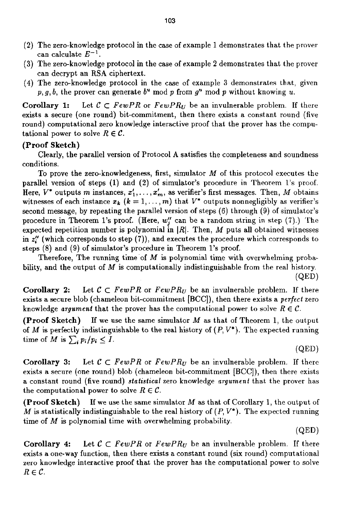- **(2)** The zero-knowledge protocol in the case of example 1 demonstrates that the **prover**  can calculate  $E^{-1}$ .
- **(3)** The zero-knowledge protocol in the case of example **2** demonstrates that the prover can decrypt an **RSA** ciphertext.
- **(4)** The zero-knowledge protocol in the case of example **3** demonstrates that, given  $p, g, b$ , the prover can generate  $b^u \mod p$  from  $g^u \mod p$  without knowing  $u$ .

**Corollary 1:** Let  $C \subset FewPR$  or  $FewPR_U$  be an invulnerable problem. If there exists a secure (one round) bit-commitment, then there exists a constant round (five round) computational zero knowledge interactive proof that the prover has the computational power to solve  $R \in \mathcal{C}$ .

# **(Proof Sketch)**

Clearly, the parallel version of Protocol **A** satisfies the completeness and soundness conditions.

To prove the zero-knowledgeness, first, simulator *M* of this protocol executes the parallel version of steps **(1)** and **(2)** of simulator's procedure in Theorem 1's proof. Here,  $V^*$  outputs *m* instances,  $x'_1, \ldots, x'_m$ , as verifier's first messages. Then, *M* obtains witnesses of each instance  $x_k$   $(k = 1, ..., m)$  that  $V^*$  outputs nonnegligibly as verifier's second message, by repeating the parallel version of steps (6) through (9) of simulator's procedure in Theorem 1's proof. (Here,  $w_i''$  can be a random string in step (7).) The expected repetition number is polynomial in *IRI.* Then, *M* puts all obtained witnesses in  $z_i''$  (which corresponds to step  $(7)$ ), and executes the procedure which corresponds to steps (8) and (9) of simulator's procedure in Theorem 1's **proof.** 

Therefore, The running time of  $M$  is polynomial time with overwhelming probability, and the output of *M* is computationally indistinguishable from the real history. (QED)

**Corollary 2:** Let  $C \subseteq FewPR$  or  $FewPR$  be an invulnerable problem. If there exists **a** secure blob (chameleon bit-commitment [BCC]), then there exists a *perfect* zero knowledge *argument* that the prover has the computational power to solve  $R \in \mathcal{C}$ .

**(Proof Sketch)** If we use the same simulator *M* **as** that of Theorem 1, the output of *M* is perfectly indistinguishable to the real history of  $(P, V^*)$ . The expected running time of *M* is  $\sum_{i} p_i/p_i \leq I$ .

(QED)

**Corollary 3:** Let  $C \subseteq FewPR$  or  $FewPR_U$  be an invulnerable problem. If there exists a secure (one round) blob (chameleon bit-commitment **[BCC]),** then there exists a constant round (five round) *siaiistacal* zero knowledge *argument* that the prover **has**  the computational power to solve  $R \in \mathcal{C}$ .

**(Proof Sketch) If** we **use** the same simulator *M* **as** that of Corollary 1, the output of *M* is statistically indistinguishable to the real history **of** *(P,* V\*). The expected running time of *M* is polynomial time with overwhelming probability.

(QED)

**Corollary 4:** Let  $C \subseteq FewPR$  or  $FewPR_U$  be an invulnerable problem. If there exists a one-way function, then there exists a constant round *(six* round) computational **zero** knowledge interactive proof that the prover **has** the computational power to solve  $R \in \mathcal{C}$ .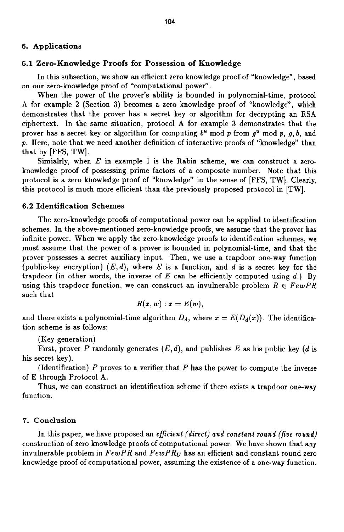# **6. Applications**

## **6.1 Zero-Knowledge Proofs for Possession of Knowledge**

In this subsection, we show an efficient zero knowledge proof of "knowledge", based on **our** zero-knowledge proof of "computational power".

When the power of the prover's ability is bounded in polynomial-time, protocol **A** for example **2** (Section **3)** becomes a zero knowledge proof of "knowledge", which demonstrates that the prover has a secret key or algorithm for decrypting an **RSA**  ciphertext. In the same situation, protocol **A** for example **3** demonstrates that the prover has a secret key or algorithm for computing  $b^u$  mod p from  $g^u$  mod p,  $g, b$ , and *p.* Here, note that we need another definition of interactive proofs of "knowledge" than that by [FFS, **TW].** 

Simialrly, when *E* in example 1 is the Rabin scheme, we can construct a zeroknowledge proof of possessing prime factors of a composite number. Note that this protocol is a zero knowledge proof of "knowledge" in the sense of **[FFS,** TW]. Clearly, this protocol is much more efficient than the previously proposed protocol in [TW].

# **6.2 Identification Schemes**

The zero-knowledge proofs of computational power can be applied to identification schemes. In the above-mentioned zero-knowledge proofs, we assume that the prover has infinite power. When we apply the zero-knowledge proofs to identification schemes, we must assume that the power of a prover is bounded in polynomial-time, and that the prover possesses a secret auxiliary input. Then, we use a trapdoor one-way function (public-key encryption)  $(E, d)$ , where E is a function, and d is a secret key for the trapdoor (in other words, the inverse of  $E$  can be efficiently computed using  $d$ .) By using this trapdoor function, we can construct an invulnerable problem  $R \in \text{FewPR}$ such that

$$
R(x, w) : x = E(w),
$$

and there exists a polynomial-time algorithm  $D_d$ , where  $x = E(D_d(x))$ . The identification scheme is as follows:

(Key generation)

First, prover *P* randomly generates *(E, d),* and publishes *E* **as** his public key *(d* is his secret key).

(Identification) *P* proves to a verifier that *P* has the power to compute the inverse of **E** through Protocol **A.** 

Thus, we can construct an identification scheme if there exists a trapdoor one-way function.

#### **7. Conclusion**

In this paper, we have proposed an *eficient (direct) and constant round (five round)*  construction of zero knowledge proofs of computational power. We have shown that any invulnerable problem in *FewPR* and *FewPRu* has an efficient and constant round zero knowledge proof of computational power, assuming the existence of a one-way function.